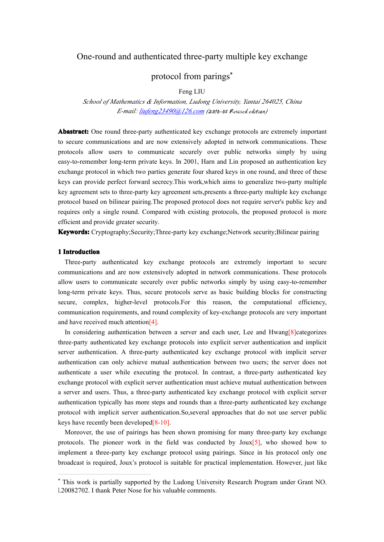# One-round and authenticated three-party multiple key exchange

# protocol from paring[s](#page-0-0) \*

Feng LIU

*School of Mathematics & Information, Ludong University, Yantai 264025, China E-mail: [liufeng23490@126.com](mailto:liufeng23490@126.com) (*2010-05 Revised edition*)*

**Abastract:** One round three-party authenticated key exchange protocols are extremely important to secure communications and are now extensively adopted in network communications. These protocols allow users to communicate securely over public networks simply by using easy-to-remember long-term private keys. In 2001, Harnand Lin proposed an authentication key exchange protocol in which two parties generate four shared keys in one round, and three of these keys can provide perfect forward secrecy.This work,which aims to generalize two-party multiple key agreemen<sup>t</sup> sets tothree-party key agreemen<sup>t</sup> sets,presents <sup>a</sup> three-party multiple key exchange protocol based on bilinear pairing.The proposed protocol does not require server's public key and requires only <sup>a</sup> single round. Compared with existing protocols, the proposed protocol ismore efficient and provide greater security.

**Keywords:** Cryptography;Security;Three-party key exchange;Network security;Bilinear pairing

## **1 Introduction**

Three-party authenticated key exchange protocols are extremely important to secure communications and are now extensively adopted in network communications. These protocols allow users to communicate securely over public networks simply by using easy-to-remember long-term private keys. Thus, secure protocols serve as basic building blocks for constructing secure, complex, higher-level protocols.For this reason, the computational efficiency, communication requirements, and round complexity of key-exchange protocols are very important and have received much attention[4].

In considering authentication between a server and each user, Lee and Hwang[8]categorizes three-party authenticated key exchange protocols into explicit server authentication and implicit server authentication. A three-party authenticated key exchange protocol with implicit server authentication can only achieve mutual authentication between two users; the server does not authenticate <sup>a</sup> user while executing the protocol. In contrast, <sup>a</sup> three-party authenticated key exchange protocol with explicit server authentication must achieve mutual authentication between <sup>a</sup> server and users. Thus, <sup>a</sup> three-party authenticated key exchange protocol with explicit server authentication typically has more steps and rounds than <sup>a</sup> three-party authenticated key exchange protocol with implicit server authentication.So,several approaches that do not use server public keys have recently been developed[8-10].

Moreover, the use of pairings has been shown promising for many three-party key exchange protocols. The pioneer work in the field was conducted by Joux[5], who showed how to implement <sup>a</sup> three-party key exchange protocol using pairings. Since in his protocol only one broadcast isrequired, Joux's protocol is suitable for practical implementation. However, just like

<span id="page-0-0"></span><sup>\*</sup> This work is partially supported by the Ludong University Research Program under Grant NO. L20082702. I thank Peter Nose for his valuable comments.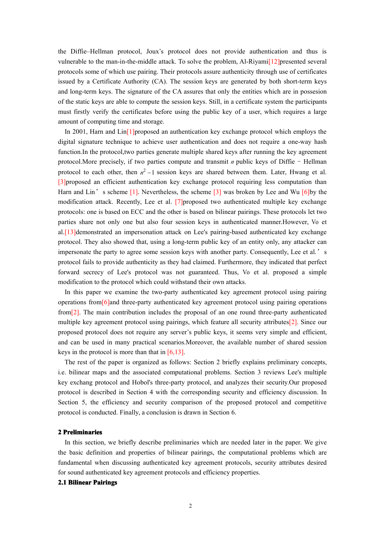the Diffie–Hellman protocol, Joux's protocol does not provide authentication and thus is vulnerable to the man-in-the-middle attack. To solve the problem, Al-Riyami[12]presented several protocols some of which use pairing. Their protocols assure authenticity through use of certificates issued by <sup>a</sup> Certificate Authority (CA). The session keys are generated by both short-term keys and long-term keys. The signature of the CA assures that only the entities which are in possesion of the static keys are able to compute the session keys. Still, in <sup>a</sup> certificate systemthe participants must firstly verify the certificates before using the public key of <sup>a</sup> user, which requires <sup>a</sup> large amount of computing time and storage.

In 2001, Harn and Lin<sup>[1]</sup> proposed an authentication key exchange protocol which employs the digital signature technique to achieve user authentication and does not require <sup>a</sup> one-way hash function.In the protocol,two parties generate multiple shared keys after running the key agreemen<sup>t</sup> protocol.More precisely, if two parties compute and transmit *<sup>n</sup>* public keys of Diffie–Hellman protocol to each other, then  $n^2 - 1$  session keys are shared between them. Later, Hwang et al. [3] proposed an efficient authentication key exchange protocol requiring less computation than Harn and Lin's scheme [1]. Nevertheless, the scheme  $\lceil 3 \rceil$  was broken by Lee and Wu  $\lceil 6 \rceil$ by the modification attack. Recently, Lee et al. [7]proposed two authenticated multiple key exchange protocols: one is based on ECC and the other is based on bilinear pairings. These protocols let two parties share not only one but also four session keys in authenticated manner.However, Vo et al.[13]demonstrated an impersonation attack on Lee's pairing-based authenticated key exchange protocol. They also showed that, using <sup>a</sup> long-term public key of an entity only, any attacker can impersonate the party to agree some session keys with another party. Consequently, Lee et al.' s protocol fails to provide authenticity as they had claimed. Furthermore, they indicated that perfect forward secrecy of Lee's protocol was not guaranteed. Thus, Vo et al. proposed <sup>a</sup> simple modification to the protocol which could withstand their own attacks.

In this paper we examine the two-party authenticated key agreemen<sup>t</sup> protocol using pairing operations from  $\lceil 6 \rceil$  and three-party authenticated key agreement protocol using pairing operations from[2]. The main contribution includes the proposal of an one round three-party authenticated multiple key agreemen<sup>t</sup> protocol using pairings, which feature all security attributes[2]. Since our proposed protocol does not require any server's public keys, it seems very simple and efficient, and can be used in many practical scenarios.Moreover, the available number of shared session keys in the protocol is more than that in  $[6,13]$ .

The rest of the paper is organized as follows: Section 2 briefly explains preliminary concepts, i.e. bilinear maps and the associated computational problems. Section 3 reviews Lee's multiple key exchang protocol and Hobol's three-party protocol, and analyzes their security.Our proposed protocol is described in Section 4 with the corresponding security and efficiency discussion. In Section 5, the efficiency and security comparison of the proposed protocol and competitive protocol is conducted. Finally, <sup>a</sup> conclusion is drawn in Section 6.

### **2 Preliminaries**

In this section, we briefly describe preliminaries which are needed later in the paper. We give the basic definition and properties of bilinear pairings, the computational problems which are fundamental when discussing authenticated key agreemen<sup>t</sup> protocols, security attributes desired for sound authenticated key agreemen<sup>t</sup> protocols and efficiency properties.

## **2.1 Bilinear Pairings Pairings**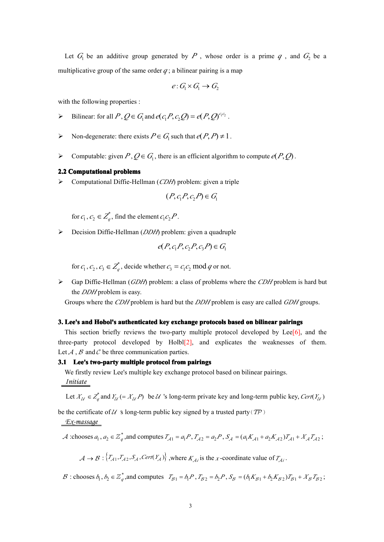Let  $G_1$  be an additive group generated by  $P$ , whose order is a prime  $q$ , and  $G_2$  be a multiplicative group of the same order  $q$ ; a bilinear pairing is a map

$$
e: G_1 \times G_1 \to G_2
$$

with the following properties :

- *e* :  $G_1 \times G_1 \rightarrow G_2$ <br>
:<br> *G*<sub>1</sub> and  $e(G_1P, G_2Q) = e(P, Q)$ <br> *c* is  $P \in G$  such that  $e(P, P)$ → Bilinear: for all *P*,  $Q \in G_1$  and  $e(c_1P, c_2Q) = e(P, Q)^{c_1c_2}$ <br>
→ Non-degenerate: there exists  $P \in G_1$  such that  $e(P, P) \neq$ <br>
→ Computable: given  $P, Q \in G_1$ , there is an efficient algor Bilinear: for all  $P, Q \in G_1$  and  $e(c_1P, c_2Q) = e(P, Q)^{c_1c_2}$ .<br>  $\triangleright$  Non-degenerate: there exists  $P \in G_1$  such that  $e(P, P) \neq 1$ .<br>  $\triangleright$  Computable: given  $P, Q \in G_1$ , there is an efficient algority<br>
2.2 Computational p
	-
	- Computable: given  $P, Q \in G_1$ , there is an efficient algorithm to compute  $e(P, Q)$ .

#### **2.2 Computational problems**

� Computational Diffie-Hellman (*CDH*) problem: given <sup>a</sup> triple

$$
(P, c_1 P, c_2 P) \in G_1
$$

for  $c_1, c_2 \in Z_a^*$ , find the element  $c_1 c_2 P$ .

1 Decision Diffie-Hellman (*DDH*) problem: given a quadruple  $\phi$  *c*<sub>1</sub>, *c*<sub>2</sub> ∈  $Z_q^*$ , find the element *c*<sub>1</sub>*c*<sub>2</sub>*P*.<br>
Decision Diffie-Hellman (*DDH*) problem: given a quadruple<br>  $e(P, c_1P, c_2P, c_3P) \in G_1$ <br>
for *c*, *c*, *c* ∈  $Z^*$  decide whether *c* = *c c*, mod *a* or n

$$
e(P,c_1P,c_2P,c_3P) \in G_1
$$

for  $c_1, c_2, c_3 \in Z_a^*$ 

 $e(P, c_1P, c_2P, c_3P) \in G_1$ <br>  $Z_q^*$ , decide whether  $c_3 = c_1c_2 \mod q$  or not<br>
Iman (*GDH*) problem: a class of problem:<br>
Sum is easy. for  $c_1$ ,  $c_2$ ,  $c_3 \in Z_q^*$ , decide whether  $c_3 = c_1c_2 \mod q$ <br>
3 Gap Diffie-Hellman (*GDH*) problem: a class of pro<br>
the *DDH* problem is easy.<br>
Groups where the *CDH* problem is hard but the *DDH* e whether  $c_3 = c_1 c_2 \mod q$  or not.<br>
2*H*) problem: a class of problems v. � Gap Diffie-Hellman (*GDH*) problem: <sup>a</sup> class of problems where the *CDH* problem is hard but the *DDH* problem is easy.

Groups where the *CDH* problem is hard but the*DDH* problem is easy are called *GDH* groups.

#### 3. Lee's and Hobol's authenticated key exchange protocols based on bilinear pairings

This section briefly reviews the two-party multiple protocol developed by Lee[6], and the three-party protocol developed by  $H \text{olbl}[2]$ , and explicates the weaknesses of them. Let  $A, B$  and  $C$  be three communication parties.

# **3.1 Lee's two-party two-partymultiple protocol from pairing pairingpairings**

We firstly review Lee's multiple key exchange protocol based on bilinear pairings.

# *Initiate*

Let  $X_{\mathcal{U}} \in Z_a^*$  and  $Y_{\mathcal{U}} \in X_{\mathcal{U}}$  *P* be  $\mathcal{U}$  's long-term private key and long-term public key, *Cert*( $Y_{\mathcal{U}}$ )

be the certificate of  $U$  *'s* long-term public key signed by a trusted party( $T$ P)

#### *Ex-massage*

$$
\mathcal{A}:\text{chooses } a_1, a_2 \in \mathbb{Z}_q^* \text{, and computes } T_{\mathcal{A}1} = a_1 P, T_{\mathcal{A}2} = a_2 P, S_{\mathcal{A}} = (a_1 K_{\mathcal{A}1} + a_2 K_{\mathcal{A}2}) T_{\mathcal{A}1} + X_{\mathcal{A}} T_{\mathcal{A}2};
$$
\n
$$
\mathcal{A} \to \mathcal{B}: \{T_{\mathcal{A}1}, T_{\mathcal{A}2}, S_{\mathcal{A}}, \text{Cert}(Y_{\mathcal{A}})\}, \text{where } K_{\mathcal{A}_i} \text{ is the } x \text{-coordinate value of } T_{\mathcal{A}_i}.
$$
\n
$$
\mathcal{B}: \text{chooses } b_1, b_2 \in \mathbb{Z}_q^*, \text{ and computes } T_{\mathcal{B}1} = b_1 P, T_{\mathcal{B}2} = b_2 P, S_{\mathcal{B}} = (b_1 K_{\mathcal{B}1} + b_2 K_{\mathcal{B}2}) T_{\mathcal{B}1} + X_{\mathcal{B}} T_{\mathcal{B}2}.
$$

 $A \rightarrow B : \{T_{A1}, T_{A2}, S_A, \text{Cert}(Y_A)\}\)$ , where  $K_{Ai}$  is the *x*-coordinate value of  $T_{Ai}$ .<br>  $B : \text{chooses } b_1, b_2 \in \mathbb{Z}_q^*$ , and computes  $T_{B1} = b_1 P$ ,  $T_{B2} = b_2 P$ ,  $S_B = (b_1 K_{B1} + b_2 K_{B2})$ .

 $\mathcal{B}$  : chooses  $b_1, b_2 \in \mathbb{Z}_q^*$  $b_2 \in \mathbb{Z}_q^*$ , and computes  $T_{B1} = b_1 P$ ,  $T_{B2} = b_2 P$ ,  $S_B = (b_1 K_{B1} + b_2 K_{B2})T_{B1} + X_B T_{B2}$ ;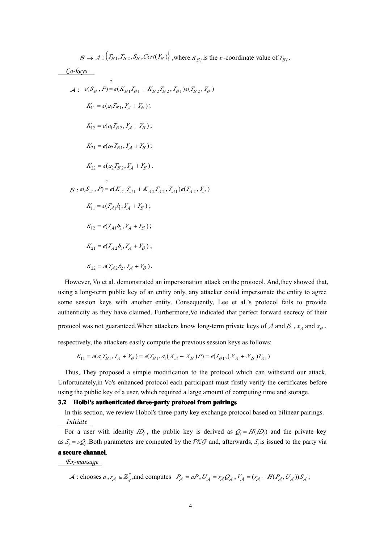$$
B \rightarrow A: \{T_{B1}, T_{B2}, S_B, Cerr(Y_B)\}, \text{where } K_{B_i} \text{ is the } x \text{-coordinate value of } T_{B_i}.
$$
  
\n
$$
\underbrace{Co\text{-}keys}_{\text{ATi}}.
$$
  
\n
$$
A: e(S_B, P) = e(K_{B1}T_{B1} + K_{B2}T_{B2}, T_{B1})e(T_{B2}, Y_B)
$$
  
\n
$$
K_{11} = e(a_1T_{B1}, Y_A + Y_B);
$$
  
\n
$$
K_{12} = e(a_1T_{B2}, Y_A + Y_B);
$$
  
\n
$$
K_{21} = e(a_2T_{B1}, Y_A + Y_B);
$$
  
\n
$$
K_{22} = a(a_2T_{B2}, Y_A + Y_B).
$$
  
\n
$$
B: e(S_A, P) = e(K_{A1}T_{A1} + K_{A2}T_{A2}, T_{A1})e(T_{A2}, Y_A)
$$
  
\n
$$
K_{11} = e(T_{A1}b_1, Y_A + Y_B);
$$
  
\n
$$
K_{12} = a(T_{A1}b_2, Y_A + Y_B);
$$
  
\n
$$
K_{21} = a(T_{A2}b_1, Y_A + Y_B);
$$
  
\n
$$
K_{22} = a(T_{A2}b_1, Y_A + Y_B);
$$
  
\n
$$
K_{22} = a(T_{A2}b_1, Y_A + Y_B);
$$

However, Vo et al. demonstrated an impersonation attack on the protocol. And, they showed that,  $K_{22} = e(T_{A2}b_2, Y_A + Y_B)$ .<br>However, Vo et al. demonstrated an impersonation attack on the protocol. And,they showed that,<br>sing a long-term public key of an entity only, any attacker could impersonate the entity to agree<br>om using <sup>a</sup> long-term public key of an entity only, any attacker could impersonate the entity to agree some session keys with another entity. Consequently, Lee et al.'s protocol fails to provide authenticity as they have claimed. Furthermore,Vo indicated that perfect forward secrecy of their protocol was not guaranteed. When attackers know long-term private keys of  $A$  and  $B$ ,  $x_A$  and  $x_B$ ,

respectively, the attackers easily compute the previous session keys as follows:

$$
K_{11} = e(a_1T_{\beta 1}, Y_{\mathcal{A}} + Y_{\beta}) = e(T_{\beta 1}, a_1(X_{\mathcal{A}} + X_{\beta})P) = e(T_{\beta 1}, (X_{\mathcal{A}} + X_{\beta})T_{\mathcal{A}1})
$$

 $K_{11} = e(a_1T_{B1}, Y_A + Y_B) = e(T_{B1}, a_1(X_A + X_B)P) = e(T_{B1}, (X_A + X_B)T_{A1})$ <br>Thus, They proposed a simple modification to the protocol which can withstand our<br>Unfortunately, in Vo's enhanced protocol each participant must firstly verify Thus, They proposed <sup>a</sup> simple modification to the protocol which can withstand our attack. Unfortunately, in Vo's enhanced protocol each participant must firstly verify the certificates before

#### 3.2 Holbl's authenticated three-party protocol from pairings

In this section, we review Hobol's three-party key exchange protocol based on bilinear pairings. *Initiate*

For <sup>a</sup> user with identity *i* vith identity  $ID_i$ , the public key is derived as  $Q_i = H(D_i)$  and the private key is parameters are computed by the  $PKG$  and, afterwards,  $S_i$  is issued to the party via  $\ell$ **i.** as  $S_i = sQ_i$ . Both parameters are computed by the PKG and, afterwards,  $S_i$  is issued to the party via *i* **i** *ss i*<sub>*s*</sub> *sQ*<sub>*i*</sub>  $\in$  *sQ*<sub>*i*</sub>  $\in$  *sS*<sub>*i*</sub>  $\in$  *sQ*<sub>*i*</sub>  $\in$  *ss sS*<sub>*i*</sub>  $\in$  *sQ*<sub>*i*</sub>. Both parameters are computed by the *PKG* and, afterwards, **a secure channel**.<br>
<u>*Ex-massage*</u><br> *A* : ch  $a$  **secure** *channel.* 

#### *Ex-massage*

chooses a,  $r_A \in \mathbb{Z}_q^*$ , and computes  $P_A = aP$ ,  $U_A = r_A Q_A$ ,  $V_A = (r_A + H(P_A, U_A))S_A$ ;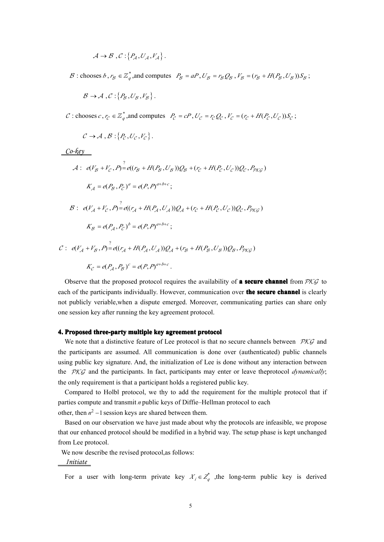$$
\mathcal{A} \to \mathcal{B}, \mathcal{C} : \{P_{\mathcal{A}}, U_{\mathcal{A}}, V_{\mathcal{A}}\}.
$$

 $A \rightarrow B$ ,  $C: {P_A, U_A, V_A}$ .<br>  $B: \text{chooses } b, r_B \in \mathbb{Z}_q^*$ , and comput<br>  $B \rightarrow A, C: {P_B, U_B, V_B}$ .  $\mathcal{B}$  : chooses *b*,  $r_{\mathcal{B}} \in \mathbb{Z}_{d}^{*}$ boses *b*,  $r_B \in \mathbb{Z}_q^*$ , and computes  $P_B = aP$ ,  $U_B = r_B Q_B$ ,  $V_B = (r_B + H(P_B, U_B))S_B$ ;<br>  $\forall \rightarrow A$ ,  $C: \{P_B, U_B, V_B\}$ .<br>  $P_B = cP$ ,  $U_C = r_C Q_C$ ,  $V_C = (r_C + H(P_C, U_C))S_C$ ;

$$
\mathcal{B} \to \mathcal{A}, \mathcal{C}: \{P_{\mathcal{B}}, U_{\mathcal{B}}, V_{\mathcal{B}}\}.
$$

 $\mathcal{B} \to \mathcal{A}, \mathcal{C} : \{P_B, U_B, V_B\}.$ <br>  $\mathcal{C} : \text{chooses } c, r_{\mathcal{C}} \in \mathbb{Z}_q^* \text{, and compi}$ <br>  $\mathcal{C} \to \mathcal{A}, \mathcal{B} : \{P_C, U_C, V_C\}.$ C : chooses  $c, r_c \in \mathbb{Z}_q^*$ cooses *c*,  $r_c \in \mathbb{Z}_q^*$ , and computes  $P_c = cP$ ,  $U_c = r_c Q_c$ ,  $V_c = (r_c + H(P_c, U_c))S_c$ <br>  $C \rightarrow A$ ,  $B: \{P_c, U_c, V_c\}$ .  $\sigma$ )) $\Delta_{\cal C}$  ;

$$
\mathcal{C} \to \mathcal{A} \text{ , } \mathcal{B} : \{P_{\mathcal{C}}^{\dagger}, U_{\mathcal{C}}^{\dagger}, V_{\mathcal{C}}^{\dagger}\}.
$$

$$
C \rightarrow A, B: \{P_C, U_C, V_C\}.
$$
  
\n
$$
\underline{Co\text{-}key}
$$
  
\n
$$
A: e(V_B + V_C, P) = e((r_B + H(P_B, U_B))Q_B + (r_C + H(P_C, U_C))Q_C, P_{PKG})
$$
  
\n
$$
K_A = e(P_B, P_C)^a = e(P, P)^{a+b+c};
$$
  
\n
$$
B: e(V_A + V_C, P) = e((r_A + H(P_A, U_A))Q_A + (r_C + H(P_C, U_C))Q_C, P_{PKG})
$$
  
\n
$$
K_B = e(P_A, P_C)^b = e(P, P)^{a+b+c};
$$
  
\n
$$
C: e(V_A + V_B, P) = e((r_A + H(P_A, U_A))Q_A + (r_B + H(P_B, U_B))Q_B, P_{PKG})
$$
  
\n
$$
K_C = e(P_A, P_B)^c = e(P, P)^{a+b+c}.
$$

 $A_{\mathcal{C}} = e(P_{\mathcal{A}}, P_{\mathcal{B}}) = e(P, P)$ .<br>Observe that the proposed protocol requires the availability of **a secure channel** from  $PKG$  to  $K_C = e(P_A, P_B)^c = e(P, P)^{a+b+c}$ .<br>Observe that the proposed protocol requires the availability of **a secure channel** from  $PKG$  to<br>each of the participants individually. However, communication over **the secure channel** is clearly<br> each of the participants individually. However, communication over **the secure channel** is clearly not publicly veriable,when <sup>a</sup> dispute emerged. Moreover, communicating parties can share only one session key after running the key agreemen<sup>t</sup> protocol.

#### 4. Proposed three-party multiple key agreement protocol

We note that a distinctive feature of Lee protocol is that no secure channels between  $PKG$  and the participants are assumed. All communication is done over (authenticated) public channels using public key signature. And, the initialization of Lee is done without any interaction between the PKG and the participants. In fact, participants may enter or leave theprotocol *dynamically*; the only requirement is that <sup>a</sup> participant holds <sup>a</sup> registered public key.

Compared to Holbl protocol, we thy to add the requirement for the multiple protocol that if parties compute and transmit *<sup>n</sup>* public keys of Diffie–Hellman protocol to each

other, then  $n^2 - 1$  session keys are shared between them. Based on our observation we have just made about why the protocols are infeasible, we propose

that our enhanced protocol should be modified in a hybrid way. The setup phase is kept unchanged from Lee protocol.

We now describe the revised protocol,as follows:

*Initiate*

For a user with long-term private key  $X_i \in Z_a^*$ vate key  $X_i \in Z_q^*$ , the long-term public key is derived<br>5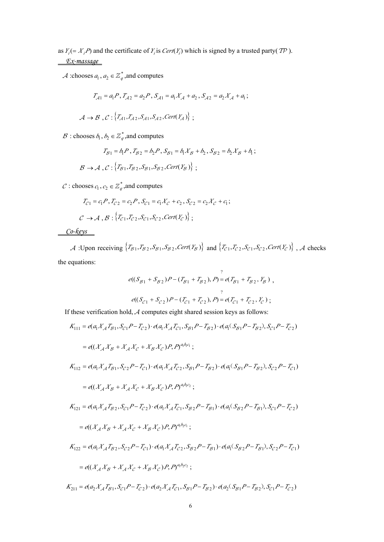as  $Y_i (= X_i P)$  and the certificate of  $Y_i$  is *Cert*( $Y_i$ ) which is signed by a trusted party(  $TP$  ).<br>*Ex-massage* 

A :chooses  $a_1, a_2 \in \mathbb{Z}_q^*$ , and computes

$$
T_{A1} = a_1 P, T_{A2} = a_2 P, S_{A1} = a_1 X_A + a_2, S_{A2} = a_2 X_A + a_1;
$$
  

$$
A \rightarrow B, C: \{T_{A1}, T_{A2}, S_{A1}, S_{A2}, \text{Cert}(Y_A)\};
$$
  

$$
B: \text{ chooses } b_1, b_2 \in \mathbb{Z}_q^*
$$
, and computes  

$$
T_{B1} = b_1 P, T_{B2} = b_2 P, S_{B1} = b_1 X_B + b_2, S_{B2} = b_2 X_B + a_1 X_B + a_2 X_B + a_2 X_B + a_3 X_B + a_4 X_B + a_5 X_B + a_6 X_B + a_7 X_B + a_8 X_B + a_9 X_B + a_1 X_B + a_2 X_B + a_3 X_B + a_4 X_B + a_5 X_B + a_6 X_B + a_7 X_B + a_7 X_B + a_8 X_B + a_9 X_B + a_9 X_B + a_9 X_B + a_9 X_B + a_9 X_B + a_9 X_B + a_0 X_B + a_0 X_B + a_1 X_B + a_2 X_B + a_0 X_B + a_1 X_B + a_2 X_B + a_0 X_B + a_1 X_B + a_2 X_B + a_1 X_B + a_2 X_B + a_3 X_B + a_4 X_B + a_2 X_B + a_3 X_B + a_4 X_B + a_2 X_B + a_3 X_B + a_4 X_B + a_5 X_B + a_6 X_B + a_7 X_B + a_7 X_B + a_8 X_B + a_9 X_B + a_0 X_B + a_1 X_B + a_2 X_B + a_1 X_B + a_2 X_B + a_3 X_B + a_4 X_B + a_2 X_B + a_3 X_B + a_4 X_B + a_3 X_B + a_4 X_B + a_5 X_B + a_6 X_B + a_7 X_B + a_7 X_B + a_7 X_B + a_8 X_B + a_9 X_B + a_9 X_B + a_9 X_B + a_9 X_B + a_9 X_B + a_9 X_B + a_9 X_B + a_9 X_B + a_9 X_B + a_9 X_B + a_9 X_B + a_9 X_B + a_9 X_B + a_9 X_B + a_9 X_B + a_9 X_B + a_9 X_B + a_9 X_B + a_9 X_B + a_9 X_B + a_9 X_B + a_9 X_B + a_9 X_B + a_9 X_B + a_9 X
$$

 $\mathcal{B}$  : chooses  $b_1, b_2 \in \mathbb{Z}_q^*$ , and computes

$$
T_{B1} = b_1 P, T_{B2} = b_2 P, S_{B1} = b_1 X_B + b_2, S_{B2} = b_2 X_B + b_1;
$$
  
\n
$$
B \rightarrow A, C: \{T_{B1}, T_{B2}, S_{B1}, S_{B2}, \text{Cert}(Y_B)\};
$$
  
\n
$$
C: \text{ chooses } c_1, c_2 \in \mathbb{Z}_q^*, \text{and computes}
$$
  
\n
$$
T_{C1} = c_1 P, T_{C2} = c_2 P, S_{C1} = c_1 X_C + c_2, S_{C2} = c_2 X_C + c_1;
$$

 $C:$  chooses  $c_1, c_2 \in \mathbb{Z}_q^*$ , and computes

$$
T_{C1} = c_1 P, T_{C2} = c_2 P, S_{C1} = c_1 X_C + c_2, S_{C2} = c_2 X_C + c_1;
$$
  

$$
C \rightarrow A, B : \{T_{C1}, T_{C2}, S_{C1}, S_{C2}, \text{Cert}(Y_C)\};
$$
  
Co-keys

# *Co-keys*

 $C \rightarrow A, B: \{T_{C1}, T_{C2}, S_{C1}, S_{C2}, \text{Cert}(Y_C)\};$ <br>  $C0-\text{keys}$ <br>  $A: \text{Upon receiving }\{T_{B1}, T_{B2}, S_{B1}, S_{B2}, \text{Cert}(X_C)\}$ *A* :Upon receiving  $\{T_{\mathcal{B}1}, T_{\mathcal{B}2}, S_{\mathcal{B}1}, S_{\mathcal{B}2}, \text{Cert}(Y_{\mathcal{B}})\}\$  and  $\{T_{\mathcal{C}1}, T_{\mathcal{C}2}, S_{\mathcal{C}1}, S_{\mathcal{C}2}, \text{Cert}(Y_{\mathcal{C}})\}\$ , *A* checks the equations:<br> $e((S_{\mathcal{B}1} + S_{\mathcal{B}2})P - (T_{\mathcal{B}1} + T_{\mathcal{B}2}), P)$ the equations:

$$
e((S_{B1} + S_{B2})P - (T_{B1} + T_{B2}), P) = e(T_{B1} + T_{B2}, Y_B),
$$
  

$$
e((S_{C1} + S_{C2})P - (T_{C1} + T_{C2}), P) = e(T_{C1} + T_{C2}, Y_C);
$$
  
ification hold, A computes eight shared session keys as follows:

If these verification hold,  $A$  computes eight shared session keys as follows:

$$
e((S_{C1} + S_{C2})P - (T_{C1} + T_{C2}), P) = e(T_{C1} + T_{C2}, Y_C);
$$
  
If these verification hold, A computes eight shared session keys as follows:  

$$
K_{111} = e(a_1X_A T_{B1}, S_{C1}P - T_{C2}) \cdot e(a_1X_A T_{C1}, S_{B1}P - T_{B2}) \cdot e(a_1(S_{B1}P - T_{B2}), S_{C1}P - T_{C2})
$$

$$
= e((X_A X_B + X_A X_C + X_B X_C)P, P)^{\alpha_1 \alpha_1};
$$

$$
K_{112} = e(a_1X_A T_{B1}, S_{C2}P - T_{C1}) \cdot e(a_1X_A T_{C2}, S_{B1}P - T_{B2}) \cdot e(a_1(S_{B1}P - T_{B2}), S_{C2}P - T_{C1})
$$

$$
= e((X_A X_B + X_A X_C + X_B X_C)P, P)^{\alpha_1 \alpha_2};
$$

$$
K_{121} = e(a_1X_A T_{B2}, S_{C1}P - T_{C2}) \cdot e(a_1X_A T_{C1}, S_{B2}P - T_{B1}) \cdot e(a_1(S_{B2}P - T_{B1}), S_{C1}P - T_{C2})
$$

$$
= e((X_A X_B + X_A X_C + X_B X_C)P, P)^{\alpha_1 \alpha_2};
$$

$$
K_{122} = e(a_1X_A T_{B2}, S_{C2}P - T_{C1}) \cdot e(a_1X_A T_{C2}, S_{B2}P - T_{B1}) \cdot e(a_1(S_{B2}P - T_{B1}), S_{C2}P - T_{C1})
$$

$$
= e((X_A X_B + X_A X_C + X_B X_C)P, P)^{\alpha_1 \alpha_2};
$$

$$
K_{211} = e(a_2X_A T_{B1}, S_{C1}P - T_{C2}) \cdot e(a_2X_A T_{C1}, S_{B1}P - T_{B2}) \cdot e(a_2(S_{B1}P - T_{B2}), S_{C1}P - T_{C2})
$$

$$
= 0.
$$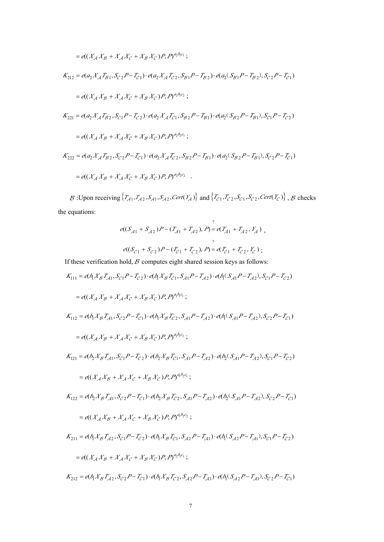$$
= e((X_A X_B + X_A X_C + X_B X_C)P, P)^{a_2b_1c_1};
$$
\n
$$
K_{212} = e(a_2 X_A T_{B1}, S_{C2} P - T_{C1}) \cdot e(a_2 X_A T_{C2}, S_{B1} P - T_{B2}) \cdot e(a_2 (S_{B1} P - T_{B2}), S_{C2} P - T_{C1})
$$
\n
$$
= e((X_A X_B + X_A X_C + X_B X_C)P, P)^{a_2b_1c_2};
$$
\n
$$
K_{221} = e(a_2 X_A T_{B2}, S_{C1} P - T_{C2}) \cdot e(a_2 X_A T_{C1}, S_{B2} P - T_{B1}) \cdot e(a_2 (S_{B2} P - T_{B1}), S_{C1} P - T_{C2})
$$
\n
$$
= e((X_A X_B + X_A X_C + X_B X_C)P, P)^{a_2b_2c_1};
$$
\n
$$
K_{222} = e(a_2 X_A T_{B2}, S_{C2} P - T_{C1}) \cdot e(a_2 X_A T_{C2}, S_{B2} P - T_{B1}) \cdot e(a_2 (S_{B2} P - T_{B1}), S_{C2} P - T_{C1})
$$
\n
$$
= e((X_A X_B + X_A X_C + X_B X_C)P, P)^{a_2b_2c_2}.
$$
\nR 'Union receiving {T<sub>C</sub>, T<sub>C</sub>, S<sub>C</sub>, S<sub>C</sub>, Cerf(Y<sub>C</sub>)} and {T<sub>C</sub>, T<sub>C</sub>, S<sub>C</sub>, S<sub>C</sub>, Cerf(Y<sub>C</sub>)} and {T<sub>C</sub>, T<sub>C</sub>, S<sub>C</sub>, S<sub>C</sub>, Cerf(Y<sub>C</sub>)} and {T<sub>C</sub>, T<sub>C</sub>, S<sub>C</sub>, S<sub>C</sub>, Cerf(Y<sub>C</sub>)} R<sub>C</sub>.

 $\mathcal{E} = e((X_{\mathcal{A}} X_{\mathcal{B}} + X_{\mathcal{A}} X_{\mathcal{C}} + X_{\mathcal{B}} X_{\mathcal{C}}) P, P_{\mathcal{A}}^{a_2 b_2 c_2}$ <br>  $\mathcal{E}$  :Upon receiving { $T_{\mathcal{A}1}, T_{\mathcal{A}2}, S_{\mathcal{A}1}, S_{\mathcal{A}2}, \text{Cert}}$ <br>
the equations: *B*: Upon receiving  $\{T_{A1}, T_{A2}, S_{A1}, S_{A2}, \text{Cert}(Y_A)\}$  and  $\{T_{C1}, T_{C2}, S_{C1}, S_{C2}, \text{Cert}(Y_C)\}$ , *B* checks the equations:<br>  $e((S_{A1} + S_{A2})P - (T_{A1} + T_{A2}), P) = e(T_{A1} + T_{A2}, Y_A)$ , the equations:

$$
e((S_{A1} + S_{A2})P - (T_{A1} + T_{A2}), P) = e(T_{A1} + T_{A2}, Y_A),
$$
  

$$
e((S_{C1} + S_{C2})P - (T_{C1} + T_{C2}), P) = e(T_{C1} + T_{C2}, Y_C);
$$
  
verification hold, *B* computes eight shared session keys as follows

If these verification hold,  $\beta$  computes eight shared session keys as follows:

$$
e((S_{C1} + S_{C2})P - (T_{C1} + T_{C2}), P) = e(T_{C1} + T_{C2}, Y_C);
$$
  
If these verification hold, B computes eight shared session keys as follows:  

$$
K_{111} = e(A_{C1}X_B T_{A1}, S_{C1}P - T_{C2}) \cdot e(A_{C1}X_B T_{C1}, S_{A1}P - T_{A2}) \cdot e(A_{C1}A_{C1}P - T_{A2}), S_{C1}P - T_{C2})
$$

$$
= e((X_A X_B + X_A X_C + X_B X_C)P, P)^{a_1A_1};
$$

$$
K_{112} = e(A_{C1}X_B X_A, S_{C2}P - T_{C1}) \cdot e(A_{C1}X_B T_{C2}, S_{A1}P - T_{A2}) \cdot e(A_{C1}S_{A1}P - T_{A2}), S_{C2}P - T_{C1})
$$

$$
= e((X_A X_B + X_A X_C + X_B X_C)P, P)^{a_1A_1A_2};
$$

$$
K_{121} = e(A_{C2}X_B T_{A1}, S_{C1}P - T_{C2}) \cdot e(A_{C2}X_B T_{C1}, S_{A1}P - T_{A2}) \cdot e(A_{C2}S_{A1}P - T_{A2}), S_{C1}P - T_{C2})
$$

$$
= e((X_A X_B + X_A X_C + X_B X_C)P, P)^{a_1A_1A_2};
$$

$$
K_{122} = e(A_{C2}X_B T_{A1}, S_{C2}P - T_{C1}) \cdot e(A_{C2}X_B T_{C2}, S_{A1}P - T_{A2}) \cdot e(A_{C3}S_{A1}P - T_{A2}), S_{C2}P - T_{C1})
$$

$$
= e((X_A X_B + X_A X_C + X_B X_C)P, P)^{a_1A_2A_2};
$$

$$
K_{211} = e(A_{C1}X_B T_{A2}, S_{C1}P - T_{C2}) \cdot e(A_{C1}X_B T_{C1}, S_{A2}P - T_{A1}) \cdot e(A_{C2}X_B - T_{A1}), S_{C1}P - T_{C2})
$$

$$
= e((X_A X_B + X_A X_C + X_B X_C)P, P)^{a_2A_1A_2};
$$
<math display="</math>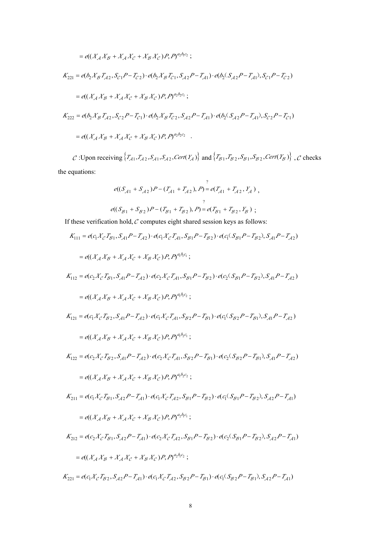$$
= e((X_A X_B + X_A X_C + X_B X_C)P, P)^{a_2b_1c_2};
$$
  
\n
$$
K_{221} = e(b_2 X_B T_{A2}, S_{C1}P - T_{C2}) \cdot e(b_2 X_B T_{C1}, S_{A2}P - T_{A1}) \cdot e(b_2 (S_{A2}P - T_{A1}), S_{C1}P - T_{C2})
$$
  
\n
$$
= e((X_A X_B + X_A X_C + X_B X_C)P, P)^{a_2b_2c_1};
$$
  
\n
$$
K_{222} = e(b_2 X_B T_{A2}, S_{C2}P - T_{C1}) \cdot e(b_2 X_B T_{C2}, S_{A2}P - T_{A1}) \cdot e(b_2 (S_{A2}P - T_{A1}), S_{C2}P - T_{C1})
$$
  
\n
$$
= e((X_A X_B + X_A X_C + X_B X_C)P, P)^{a_2b_2c_2}.
$$
  
\n
$$
C \cdot \text{From receiving } \{T_A, T_A, S_A, S_A, S_A, S_A, C_{C1}(Y_A) \} \text{ and } \{T_B, T_B, S_B, C_{C1}(Y_B)\} \subset C
$$

 $\mathcal{L}:$  Upon receiving  $\{T_{A1}, T_{A2}, S_{A1}, S_{A2},$  Cert<br>the equations: *C*: Upon receiving  $\{T_{A1}, T_{A2}, S_{A1}, S_{A2}, cert(Y_A)\}$  and  $\{T_{B1}, T_{B2}, S_{B1}, S_{B2}, cert(Y_B)\}$ , *C* checks<br>the equations:<br> $e((S_{A1} + S_{A2})P - (T_{A1} + T_{A2}), P) = e(T_{A1} + T_{A2}, Y_A)$ , the equations:

$$
e((S_{A1} + S_{A2})P - (T_{A1} + T_{A2}), P) = e(T_{A1} + T_{A2}, Y_A),
$$
  

$$
e((S_{B1} + S_{B2})P - (T_{B1} + T_{B2}), P) = e(T_{B1} + T_{B2}, Y_B);
$$
  
we verification hold, C computes eight shared session keys as follow

If these verification hold,  $\mathcal C$  computes eight shared session keys as follows:

$$
e((S_{B1} + S_{B2})P - (T_{B1} + T_{B2}), P) = e(T_{B1} + T_{B2}, Y_B);
$$
  
If these verification hold, C computes eight shared session keys as follows:  

$$
K_{111} = e(G_1 X_C T_{B1}, S_{A1}P - T_{A2}) \cdot e(G_1 X_C T_{A1}, S_{B1}P - T_{B2}) \cdot e(G_1 S_{B1}P - T_{B2}), S_{A1}P - T_{A2})
$$

$$
= e((X_A X_B + X_A X_C + X_B X_C)P, P)^{\alpha_1 \alpha_1};
$$

$$
K_{112} = e(C_2 X_C T_{B1}, S_{A1}P - T_{A2}) \cdot e(C_2 X_C T_{A1}, S_{B1}P - T_{B2}) \cdot e(C_2 (S_{B1}P - T_{B2}), S_{A1}P - T_{A2})
$$

$$
= e((X_A X_B + X_A X_C + X_B X_C)P, P)^{\alpha_1 \alpha_1};
$$

$$
K_{121} = e(G_1 X_C T_{B2}, S_{A1}P - T_{A2}) \cdot e(G_1 X_C T_{A1}, S_{B2}P - T_{B1}) \cdot e(G_1 S_{B2}P - T_{B1}), S_{A1}P - T_{A2})
$$

$$
= e((X_A X_B + X_A X_C + X_B X_C)P, P)^{\alpha_1 \alpha_2};
$$

$$
K_{122} = e(C_2 X_C T_{B2}, S_{A1}P - T_{A2}) \cdot e(C_2 X_C T_{A1}, S_{B2}P - T_{B1}) \cdot e(C_2 (S_{B2}P - T_{B1}), S_{A1}P - T_{A2})
$$

$$
= e((X_A X_B + X_A X_C + X_B X_C)P, P)^{\alpha_1 \alpha_2};
$$

$$
K_{211} = e(G_1 X_C T_{B1}, S_{A2}P - T_{A1}) \cdot e(C_1 X_C T_{A2}, S_{B1}P - T_{B2}) \cdot e(C_1 S_{B1}P - T_{B2}), S_{A2}P - T_{A1})
$$

$$
= e((X_A X_B + X_A X_C + X_B X_C)P, P)^{\alpha_1 \alpha_1};
$$

$$
K_{212} = e(C_2 X_C T_{B1}, S_{A2}P - T_{
$$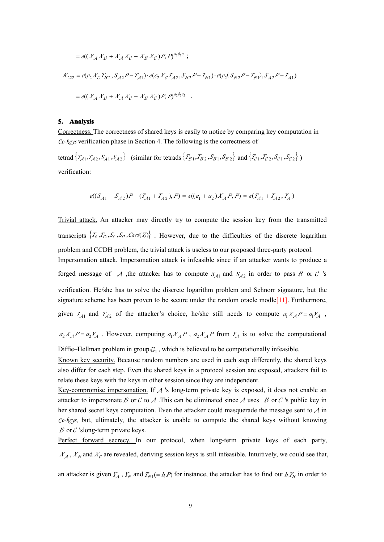$$
= e((X_A X_B + X_A X_C + X_B X_C)P, P)^{a_2b_2c_1};
$$
  
\n
$$
K_{222} = e(c_2 X_C T_{B2}, S_{A2}P - T_{A1}) \cdot e(c_2 X_C T_{A2}, S_{B2}P - T_{B1}) \cdot e(c_2 (S_{B2}P - T_{B1}), S_{A2}P - T_{A1})
$$
  
\n
$$
= e((X_A X_B + X_A X_C + X_B X_C)P, P)^{a_2b_2c_2}.
$$
  
\n**5. Analysis**  
\nCorrections. The correctness of shared keys is easily to notice by comparing key computation in

#### **5. Analysis Analysis**

*Co-keys* verification phase in Section 4. The following is the correctness of

tetrad { $T_{A1}, T_{A2}, S_{A1}, S_{A2}$ } (similar for tetrads { $T_{B1}, T_{B2}, S_{B1}, S_{B2}$ } and { $T_{C1}, T_{C2}, S_{C1}, S_{C2}$ } )<br>verification:<br> $e((S_{A1} + S_{A2})P - (T_{A1} + T_{A2}), P) = e((a_1 + a_2)X_A P, P) = e(T_{A1} + T_{A2}, Y_A)$ verification:

$$
e((S_{A1} + S_{A2})P - (T_{A1} + T_{A2}), P) = e((a_1 + a_2)X_A P, P) = e(T_{A1} + T_{A2}, Y_A)
$$

 $e((S_{A1} + S_{A2})P - (T_{A1} + T_{A2}), P) = e((a_1 + a_2)X_A P, P) = e(T_{A1} + T_{A2}, Y_A)$ <br>Trivial attack. An attacker may directly try to compute the session key from the transcripts  $\{T_A, T_A, S_A, S_A, Cer(Z)\}\$  However due to the difficulties of the di Trivial attack. An attacker may directly try to compute the session key from the transmitted transcripts  $\{T_1, T_2, S_1, S_2, \text{Cert}(Y_i)\}\$ . However, due to the difficulties of the discrete logarithm<br>problem and CCDH problem, the trivial attack is useless to our proposed three-party protocol.<br>Impersonation attack. Imp problem and CCDH problem, the trivial attack is useless to our proposed three-party protocol. Impersonation attack. Impersonation attack is infeasible since if an attacker wants to produce <sup>a</sup> forged message of A , the attacker has to compute  $S_{A1}$  and  $S_{A2}$  in order to pass B or C 's verification. He/she has to solve the discrete logarithm problem and Schnorr signature, but the signature scheme has been proven to be secure under the random oracle modle<sup>[11]</sup>. Furthermore, given  $T_{A1}$  and  $T_{A2}$  of the attacker's choice, he/she still needs to compute to compute  $a_1 X_A P = a_1 Y_A$ ,<br>to solve the computational<br>ationally infeasible.

$$
a_2 X_A P = a_2 Y_A
$$
. However, computing  $a_1 X_A P$ ,  $a_2 X_A P$  from  $Y_A$  is to solve the computational

Diffie–Hellman problem in group  $\mathbb{G}_1$ , which is believed to be computationally infeasible.

 $a_2 X_A P = a_2 Y_A$ . However, computing<br>Diffie–Hellman problem in group  $G_1$ , v<br><u>Known key security</u>. Because random<br>also differ for each step. Even the shan 1*a*<sub>*X*</sub>*P*<sub>*A*</sub> *P*<sub>*X*</sub>*P*<sub>*X*</sub>*P*<sub>*X*</sub><sup>*P*</sup> from *Y<sub>A</sub>* is to solve the computational group  $G_1$ , which is believed to be computationally infeasible.<br>use random numbers are used in each step differently, the shared k Known key security. Because random numbers are used in each step differently, the shared keys also differ for each step. Even the shared keys in <sup>a</sup> protocol session are exposed, attackers fail to relate these keys with the keys inother session since they are independent.

> Key-compromise impersonation. If  $A$  's long-term private key is exposed, it does not enable an attacker to impersonate B or C to A. This can be eliminated since A uses B or C 's public key in her shared secret keys computation. Even the attacker could masquerade the message sent to  $\mathcal{A}$  in *Co-keys*, but, ultimately, the attacker is unable to compute the shared keys without knowing  $\beta$  or  $\beta$  'slong-term private keys.

> Perfect forward secrecy. In our protocol, when long-term private keys of each party,  $X_A$ ,  $X_B$  and  $X_C$  are revealed, deriving session keys is still infeasible. Intuitively, we could see that,

an attacker is given  $Y_A$ ,  $Y_B$  and ,  $Y_B$  and  $T_{B1} (= b_1 P)$  for instance, the attacker has to find out  $b_1 Y_B$  in order to<br>9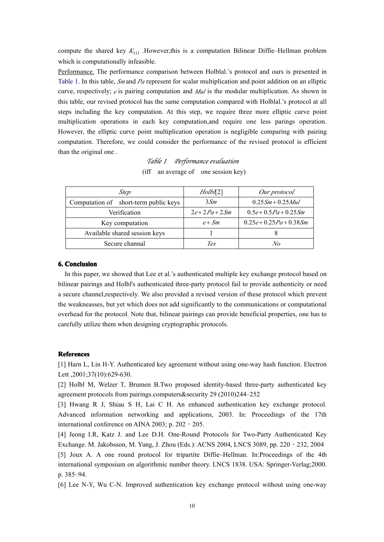compute the shared key  $K_{111}$ . However, this is a computation Bilinear Diffie–Hellman problem which is computationally infeasible.

Performance. The performance comparison between Holblal.'s protocol and ours is presented in Table 1. In this table, *Sm* and *Pa* represen<sup>t</sup> for scalar multiplication and point addition on an elliptic curve, respectively; *<sup>e</sup>* is pairing computation and *Mul* is the modular multiplication. As shown in this table, our revised protocol has the same computation compared with Holblal.'s protocol at all steps including the key computation. At this step, we require three more elliptic curve point multiplication operations in each key computation,and require one less parings operation. However, the elliptic curve point multiplication operation is negligible comparing with pairing computation. Therefore, we could consider the performance of the revised protocol is efficient than the original one .

> *Table <sup>1</sup> Performance evaluation* (iff an average of one session key)

| Step                                  | Holb[1]      | Our protocol          |
|---------------------------------------|--------------|-----------------------|
| Computation of short-term public keys | 3Sm          | $0.25 Sm + 0.25 Mul$  |
| Verification                          | $2e+2Pa+2Sm$ | $0.5e+0.5Pa+0.25Sm$   |
| Key computation                       | $e + Sm$     | $0.25e+0.25Pa+0.38Sm$ |
| Available shared session keys         |              | 8                     |
| Secure channal                        | Yes          | No                    |
|                                       |              |                       |
| Conclusion                            |              |                       |

## **6. Conclusion Conclusion Conclusion**

In this paper, we showed that Lee et al.'s authenticated multiple key exchange protocol based on bilinear pairings and Holbl's authenticated three-party protocol fail to provide authenticity or need <sup>a</sup> secure channel,respectively. We also provided <sup>a</sup> revised version of these protocol which preven<sup>t</sup> the weakneasses, but ye<sup>t</sup> which does not add significantly to the communications or computational overhead for the protocol. Note that, bilinear pairings can provide beneficial properties, onehas to carefully utilize them when designing cryptographic protocols.

#### $Ref$ erences

[1] Harn L, Lin H-Y. Authenticated key agreemen<sup>t</sup> without using one-way hash function. Electron Lett ,2001;37(10):629-630.

[2] Holbl M, Welzer T, Brumen B.Two proposed identity-based three-party authenticated key agreemen<sup>t</sup> protocols from pairings.computers&security 29 (2010)244–252

[3] Hwang R J, Shiau S H, Lai C H. An enhanced authentication key exchange protocol. Advanced information networking and applications, 2003. In: Proceedings of the 17th international conference on AINA 2003; p. 202–205.

[4] Jeong I.R, Katz J. and Lee D.H. One-Round Protocols for Two-Party Authenticated Key Exchange. M. Jakobsson, M. Yung, J. Zhou(Eds.): ACNS 2004, LNCS 3089, pp. 220–232, 2004 [5] Joux A. A one round protocol for tripartite Diffie–Hellman. In:Proceedings of the 4th international symposium on algorithmic number theory. LNCS 1838. USA: Springer-Verlag;2000. p. 385–94.

[6] Lee N-Y, Wu C-N. Improved authentication key exchange protocol without using one-way